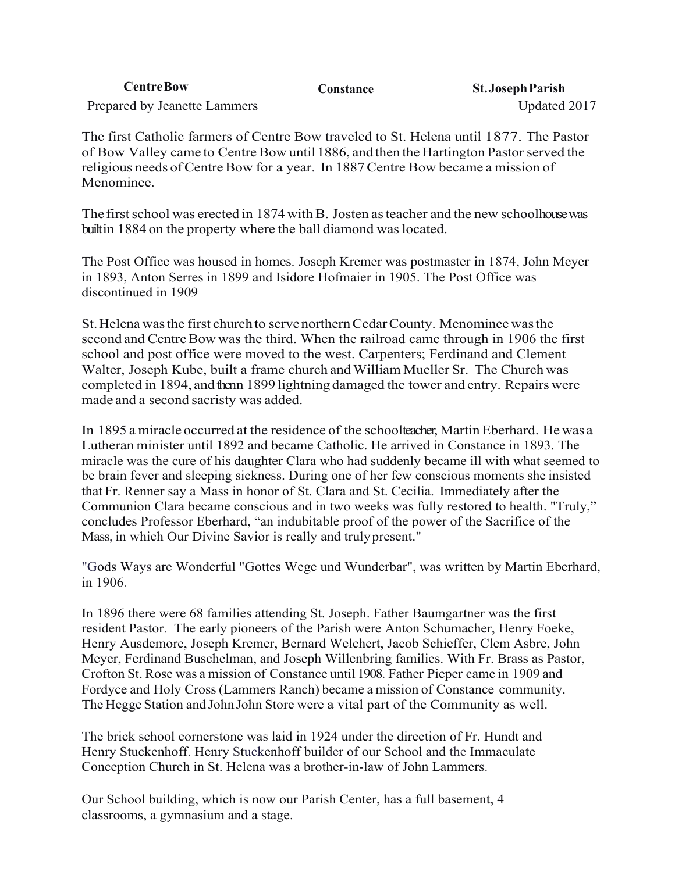| <b>CentreBow</b>             | <b>Constance</b> | <b>St. Joseph Parish</b> |
|------------------------------|------------------|--------------------------|
| Prepared by Jeanette Lammers |                  | Updated 2017             |

The first Catholic farmers of Centre Bow traveled to St. Helena until 1877. The Pastor of Bow Valley came to Centre Bow until 1886, and then the Hartington Pastor served the religious needs of Centre Bow for a year. In 1887 Centre Bow became a mission of Menominee.

The first school was erected in 1874 with B. Josten as teacher and the new schoolhouse was builtin 1884 on the property where the ball diamond was located.

The Post Office was housed in homes. Joseph Kremer was postmaster in 1874, John Meyer in 1893, Anton Serres in 1899 and Isidore Hofmaier in 1905. The Post Office was discontinued in 1909

St.Helena wasthe first church to servenorthernCedarCounty. Menominee wasthe second and Centre Bow was the third. When the railroad came through in 1906 the first school and post office were moved to the west. Carpenters; Ferdinand and Clement Walter, Joseph Kube, built a frame church and William Mueller Sr. The Church was completed in 1894, and then 1899 lightning damaged the tower and entry. Repairs were made and a second sacristy was added.

In 1895 a miracle occurred at the residence of the schoolteacher, Martin Eberhard. He was a Lutheran minister until 1892 and became Catholic. He arrived in Constance in 1893. The miracle was the cure of his daughter Clara who had suddenly became ill with what seemed to be brain fever and sleeping sickness. During one of her few conscious moments she insisted that Fr. Renner say a Mass in honor of St. Clara and St. Cecilia. Immediately after the Communion Clara became conscious and in two weeks was fully restored to health. "Truly," concludes Professor Eberhard, "an indubitable proof of the power of the Sacrifice of the Mass, in which Our Divine Savior is really and trulypresent."

"Gods Ways are Wonderful "Gottes Wege und Wunderbar", was written by Martin Eberhard, in 1906.

In 1896 there were 68 families attending St. Joseph. Father Baumgartner was the first resident Pastor. The early pioneers of the Parish were Anton Schumacher, Henry Foeke, Henry Ausdemore, Joseph Kremer, Bernard Welchert, Jacob Schieffer, Clem Asbre, John Meyer, Ferdinand Buschelman, and Joseph Willenbring families. With Fr. Brass as Pastor, Crofton St. Rose was a mission of Constance until 1908. Father Pieper came in 1909 and Fordyce and Holy Cross(Lammers Ranch) became a mission of Constance community. The Hegge Station and John John Store were a vital part of the Community as well.

The brick school cornerstone was laid in 1924 under the direction of Fr. Hundt and Henry Stuckenhoff. Henry Stuckenhoff builder of our School and the Immaculate Conception Church in St. Helena was a brother-in-law of John Lammers.

Our School building, which is now our Parish Center, has a full basement, 4 classrooms, a gymnasium and a stage.